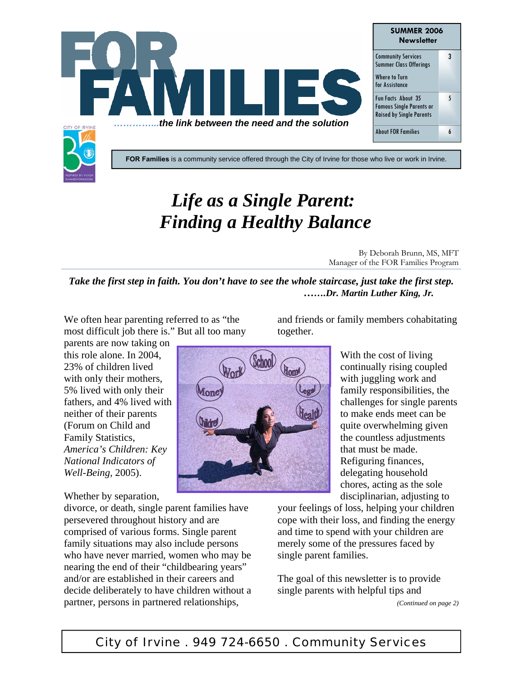

# *Life as a Single Parent: Finding a Healthy Balance*

By Deborah Brunn, MS, MFT Manager of the FOR Families Program

*Take the first step in faith. You don't have to see the whole staircase, just take the first step. …….Dr. Martin Luther King, Jr.*

We often hear parenting referred to as "the most difficult job there is." But all too many

parents are now taking on this role alone. In 2004, 23% of children lived with only their mothers, 5% lived with only their fathers, and 4% lived with neither of their parents (Forum on Child and Family Statistics, *America's Children: Key National Indicators of Well-Being,* 2005).

Whether by separation,

divorce, or death, single parent families have persevered throughout history and are comprised of various forms. Single parent family situations may also include persons who have never married, women who may be nearing the end of their "childbearing years" and/or are established in their careers and decide deliberately to have children without a partner, persons in partnered relationships,

and friends or family members cohabitating together.



With the cost of living continually rising coupled with juggling work and family responsibilities, the challenges for single parents to make ends meet can be quite overwhelming given the countless adjustments that must be made. Refiguring finances, delegating household chores, acting as the sole disciplinarian, adjusting to

your feelings of loss, helping your children cope with their loss, and finding the energy and time to spend with your children are merely some of the pressures faced by single parent families.

The goal of this newsletter is to provide single parents with helpful tips and *(Continued on page 2)*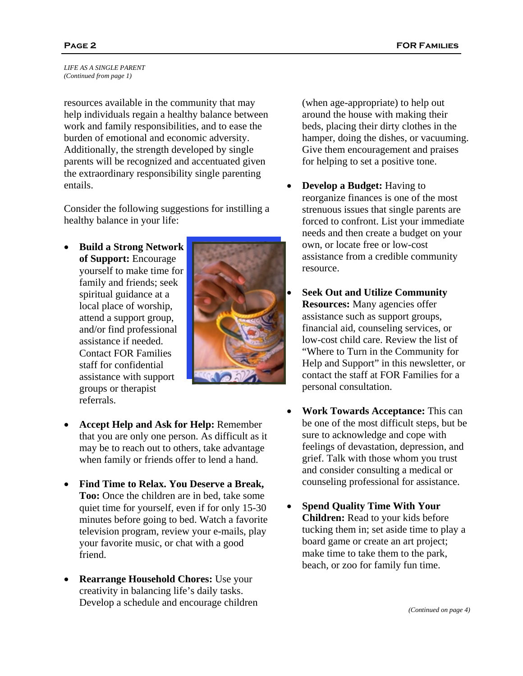*LIFE AS A SINGLE PARENT (Continued from page 1)* 

resources available in the community that may help individuals regain a healthy balance between work and family responsibilities, and to ease the burden of emotional and economic adversity. Additionally, the strength developed by single parents will be recognized and accentuated given the extraordinary responsibility single parenting entails.

Consider the following suggestions for instilling a healthy balance in your life:

• **Build a Strong Network of Support:** Encourage yourself to make time for family and friends; seek spiritual guidance at a local place of worship, attend a support group, and/or find professional assistance if needed. Contact FOR Families staff for confidential assistance with support groups or therapist referrals.



- **Accept Help and Ask for Help:** Remember that you are only one person. As difficult as it may be to reach out to others, take advantage when family or friends offer to lend a hand.
- **Find Time to Relax. You Deserve a Break, Too:** Once the children are in bed, take some quiet time for yourself, even if for only 15-30 minutes before going to bed. Watch a favorite television program, review your e-mails, play your favorite music, or chat with a good friend.
- **Rearrange Household Chores:** Use your creativity in balancing life's daily tasks. Develop a schedule and encourage children

(when age-appropriate) to help out around the house with making their beds, placing their dirty clothes in the hamper, doing the dishes, or vacuuming. Give them encouragement and praises for helping to set a positive tone.

- **Develop a Budget:** Having to reorganize finances is one of the most strenuous issues that single parents are forced to confront. List your immediate needs and then create a budget on your own, or locate free or low-cost assistance from a credible community resource.
- **Seek Out and Utilize Community Resources:** Many agencies offer assistance such as support groups, financial aid, counseling services, or low-cost child care. Review the list of "Where to Turn in the Community for Help and Support" in this newsletter, or contact the staff at FOR Families for a personal consultation.
- **Work Towards Acceptance:** This can be one of the most difficult steps, but be sure to acknowledge and cope with feelings of devastation, depression, and grief. Talk with those whom you trust and consider consulting a medical or counseling professional for assistance.
- **Spend Quality Time With Your Children:** Read to your kids before tucking them in; set aside time to play a board game or create an art project; make time to take them to the park, beach, or zoo for family fun time.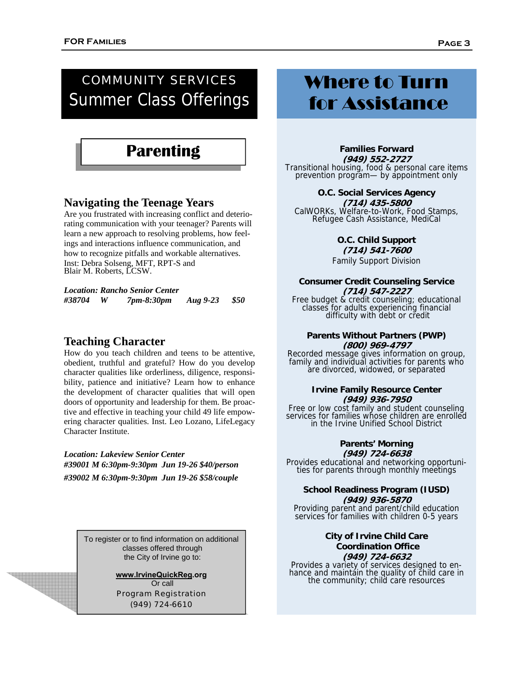## COMMUNITY SERVICES Summer Class Offerings

# **Parenting**

### **Navigating the Teenage Years**

Are you frustrated with increasing conflict and deteriorating communication with your teenager? Parents will learn a new approach to resolving problems, how feelings and interactions influence communication, and how to recognize pitfalls and workable alternatives. Inst: Debra Solseng, MFT, RPT-S and Blair M. Roberts, LCSW.

*Location: Rancho Senior Center* 

|  | #38704 |  | 7pm-8:30pm | Aug 9-23 | \$50 |
|--|--------|--|------------|----------|------|
|--|--------|--|------------|----------|------|

### **Teaching Character**

How do you teach children and teens to be attentive, obedient, truthful and grateful? How do you develop character qualities like orderliness, diligence, responsibility, patience and initiative? Learn how to enhance the development of character qualities that will open doors of opportunity and leadership for them. Be proactive and effective in teaching your child 49 life empowering character qualities. Inst. Leo Lozano, LifeLegacy Character Institute.

*Location: Lakeview Senior Center #39001 M 6:30pm-9:30pm Jun 19-26 \$40/person #39002 M 6:30pm-9:30pm Jun 19-26 \$58/couple* 

> To register or to find information on additional classes offered through the City of Irvine go to:

> > **www.IrvineQuickReg.org**  Or call Program Registration (949) 724-6610

# Where to Turn for Assistance

**Families Forward (949) 552-2727**  Transitional housing, food & personal care items prevention program— by appointment only

**O.C. Social Services Agency (714) 435-5800**  CalWORKs, Welfare-to-Work, Food Stamps, Refugee Cash Assistance, MediCal

> **O.C. Child Support (714) 541-7600**  Family Support Division

#### **Consumer Credit Counseling Service (714) 547-2227**

Free budget & credit counseling; educational classes for adults experiencing financial difficulty with debt or credit

#### **Parents Without Partners (PWP) (800) 969-4797**

Recorded message gives information on group, family and individual activities for parents who are divorced, widowed, or separated

#### **Irvine Family Resource Center (949) 936-7950**

Free or low cost family and student counseling services for families whose children are enrolled in the Irvine Unified School District

## **Parents' Morning**

**(949) 724-6638**  Provides educational and networking opportuni- ties for parents through monthly meetings

#### **School Readiness Program (IUSD) (949) 936-5870**

Providing parent and parent/child education services for families with children 0-5 years

#### **City of Irvine Child Care Coordination Office (949) 724-6632**

Provides a variety of services designed to enhance and maintain the quality of child care in<br>the community; child care resources

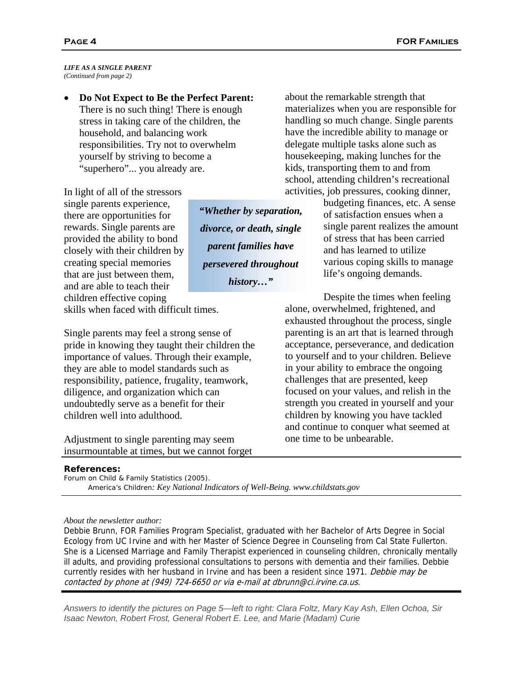*LIFE AS A SINGLE PARENT (Continued from page 2)* 

• **Do Not Expect to Be the Perfect Parent:** There is no such thing! There is enough stress in taking care of the children, the household, and balancing work responsibilities. Try not to overwhelm yourself by striving to become a "superhero"... you already are.

In light of all of the stressors single parents experience, there are opportunities for rewards. Single parents are provided the ability to bond closely with their children by creating special memories that are just between them. and are able to teach their children effective coping

*"Whether by separation, divorce, or death, single parent families have persevered throughout history…"* 

about the remarkable strength that materializes when you are responsible for handling so much change. Single parents have the incredible ability to manage or delegate multiple tasks alone such as housekeeping, making lunches for the kids, transporting them to and from school, attending children's recreational activities, job pressures, cooking dinner,

> budgeting finances, etc. A sense of satisfaction ensues when a single parent realizes the amount of stress that has been carried and has learned to utilize various coping skills to manage life's ongoing demands.

skills when faced with difficult times.

Single parents may feel a strong sense of pride in knowing they taught their children the importance of values. Through their example, they are able to model standards such as responsibility, patience, frugality, teamwork, diligence, and organization which can undoubtedly serve as a benefit for their children well into adulthood.

Adjustment to single parenting may seem insurmountable at times, but we cannot forget

Despite the times when feeling alone, overwhelmed, frightened, and exhausted throughout the process, single parenting is an art that is learned through acceptance, perseverance, and dedication to yourself and to your children. Believe in your ability to embrace the ongoing challenges that are presented, keep focused on your values, and relish in the strength you created in yourself and your children by knowing you have tackled and continue to conquer what seemed at one time to be unbearable.

#### **References:**

Forum on Child & Family Statistics (2005).  *America's Children: Key National Indicators of Well-Being. www.childstats.gov*

#### *About the newsletter author:*

Debbie Brunn, FOR Families Program Specialist, graduated with her Bachelor of Arts Degree in Social Ecology from UC Irvine and with her Master of Science Degree in Counseling from Cal State Fullerton. She is a Licensed Marriage and Family Therapist experienced in counseling children, chronically mentally ill adults, and providing professional consultations to persons with dementia and their families. Debbie currently resides with her husband in Irvine and has been a resident since 1971. Debbie may be contacted by phone at (949) 724-6650 or via e-mail at dbrunn@ci.irvine.ca.us.

*Answers to identify the pictures on Page 5—left to right: Clara Foltz, Mary Kay Ash, Ellen Ochoa, Sir Isaac Newton, Robert Frost, General Robert E. Lee, and Marie (Madam) Curie*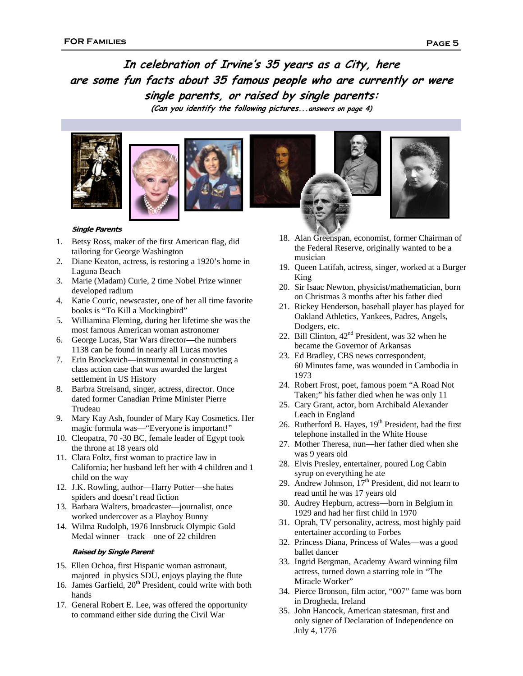## **In celebration of Irvine's 35 years as a City, here are some fun facts about 35 famous people who are currently or were single parents, or raised by single parents:**

**(Can you identify the following pictures...answers on page 4)** 









#### **Single Parents**

- 1. Betsy Ross, maker of the first American flag, did tailoring for George Washington
- 2. Diane Keaton, actress, is restoring a 1920's home in Laguna Beach
- 3. Marie (Madam) Curie, 2 time Nobel Prize winner developed radium
- 4. Katie Couric, newscaster, one of her all time favorite books is "To Kill a Mockingbird"
- 5. Williamina Fleming, during her lifetime she was the most famous American woman astronomer
- 6. George Lucas, Star Wars director—the numbers 1138 can be found in nearly all Lucas movies
- 7. Erin Brockavich—instrumental in constructing a class action case that was awarded the largest settlement in US History
- 8. Barbra Streisand, singer, actress, director. Once dated former Canadian Prime Minister Pierre Trudeau
- 9. Mary Kay Ash, founder of Mary Kay Cosmetics. Her magic formula was—"Everyone is important!"
- 10. Cleopatra, 70 -30 BC, female leader of Egypt took the throne at 18 years old
- 11. Clara Foltz, first woman to practice law in California; her husband left her with 4 children and 1 child on the way
- 12. J.K. Rowling, author—Harry Potter—she hates spiders and doesn't read fiction
- 13. Barbara Walters, broadcaster—journalist, once worked undercover as a Playboy Bunny
- 14. Wilma Rudolph, 1976 Innsbruck Olympic Gold Medal winner—track—one of 22 children

#### **Raised by Single Parent**

- 15. Ellen Ochoa, first Hispanic woman astronaut, majored in physics SDU, enjoys playing the flute
- 16. James Garfield,  $20<sup>th</sup>$  President, could write with both hands
- 17. General Robert E. Lee, was offered the opportunity to command either side during the Civil War
- 18. Alan Greenspan, economist, former Chairman of the Federal Reserve, originally wanted to be a musician
- 19. Queen Latifah, actress, singer, worked at a Burger King
- 20. Sir Isaac Newton, physicist/mathematician, born on Christmas 3 months after his father died
- 21. Rickey Henderson, baseball player has played for Oakland Athletics, Yankees, Padres, Angels, Dodgers, etc.
- 22. Bill Clinton,  $42<sup>nd</sup>$  President, was 32 when he became the Governor of Arkansas
- 23. Ed Bradley, CBS news correspondent, 60 Minutes fame, was wounded in Cambodia in 1973
- 24. Robert Frost, poet, famous poem "A Road Not Taken;" his father died when he was only 11
- 25. Cary Grant, actor, born Archibald Alexander Leach in England
- 26. Rutherford B. Hayes,  $19<sup>th</sup>$  President, had the first telephone installed in the White House
- 27. Mother Theresa, nun—her father died when she was 9 years old
- 28. Elvis Presley, entertainer, poured Log Cabin syrup on everything he ate
- 29. Andrew Johnson,  $17<sup>th</sup>$  President, did not learn to read until he was 17 years old
- 30. Audrey Hepburn, actress—born in Belgium in 1929 and had her first child in 1970
- 31. Oprah, TV personality, actress, most highly paid entertainer according to Forbes
- 32. Princess Diana, Princess of Wales—was a good ballet dancer
- 33. Ingrid Bergman, Academy Award winning film actress, turned down a starring role in "The Miracle Worker"
- 34. Pierce Bronson, film actor, "007" fame was born in Drogheda, Ireland
- 35. John Hancock, American statesman, first and only signer of Declaration of Independence on July 4, 1776